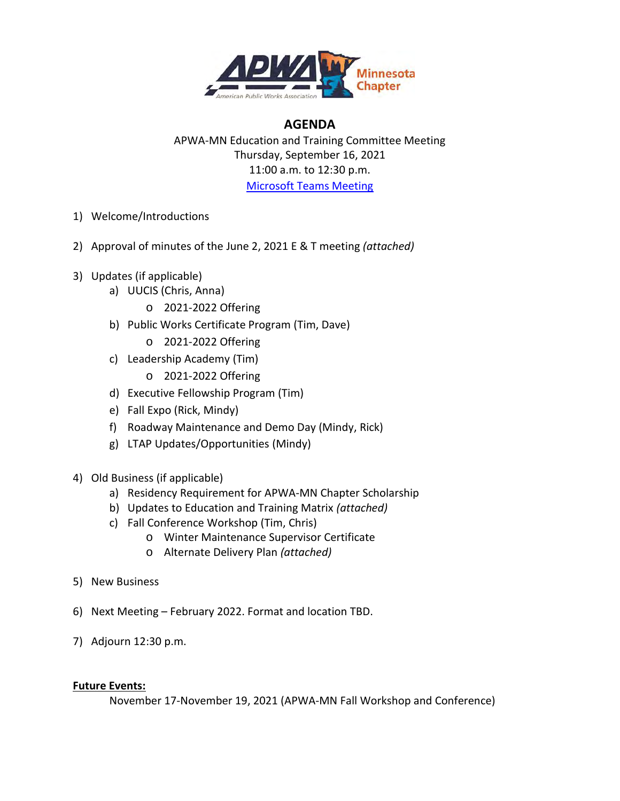

## **AGENDA**

APWA-MN Education and Training Committee Meeting Thursday, September 16, 2021 11:00 a.m. to 12:30 p.m. [Microsoft Teams Meeting](https://teams.microsoft.com/l/meetup-join/19%3ameeting_Y2FjNjVjNTAtM2I2ZS00NGU1LTg1NDQtOGQ3MWU3Y2QyODFi%40thread.v2/0?context=%7b%22Tid%22%3a%221ca836c2-e742-4129-9a1f-4657a6aa2682%22%2c%22Oid%22%3a%2239f968d4-3eeb-42f8-bfbb-398d5b0578e2%22%7d)

- 1) Welcome/Introductions
- 2) Approval of minutes of the June 2, 2021 E & T meeting *(attached)*
- 3) Updates (if applicable)
	- a) UUCIS (Chris, Anna)
		- o 2021-2022 Offering
	- b) Public Works Certificate Program (Tim, Dave)
		- o 2021-2022 Offering
	- c) Leadership Academy (Tim)
		- o 2021-2022 Offering
	- d) Executive Fellowship Program (Tim)
	- e) Fall Expo (Rick, Mindy)
	- f) Roadway Maintenance and Demo Day (Mindy, Rick)
	- g) LTAP Updates/Opportunities (Mindy)
- 4) Old Business (if applicable)
	- a) Residency Requirement for APWA-MN Chapter Scholarship
	- b) Updates to Education and Training Matrix *(attached)*
	- c) Fall Conference Workshop (Tim, Chris)
		- o Winter Maintenance Supervisor Certificate
		- o Alternate Delivery Plan *(attached)*
- 5) New Business
- 6) Next Meeting February 2022. Format and location TBD.
- 7) Adjourn 12:30 p.m.

#### **Future Events:**

November 17-November 19, 2021 (APWA-MN Fall Workshop and Conference)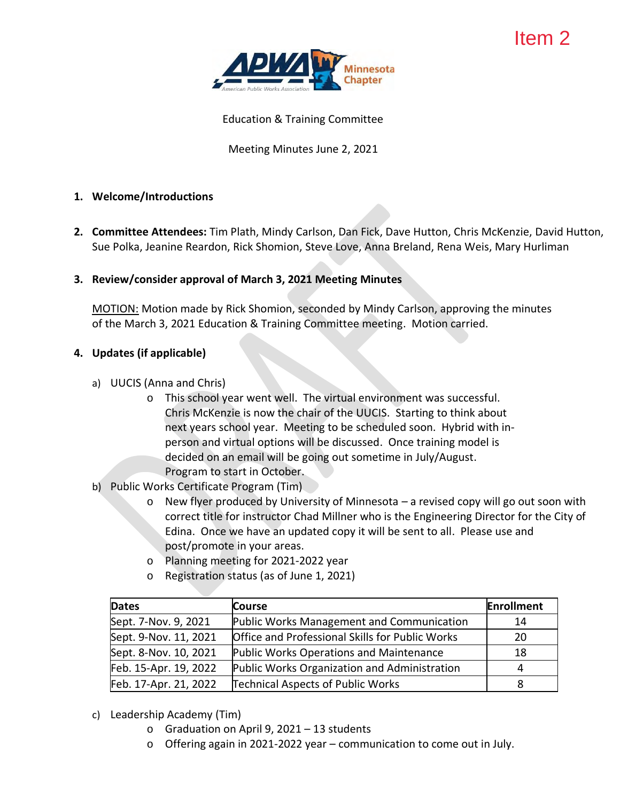

Education & Training Committee

Meeting Minutes June 2, 2021

#### **1. Welcome/Introductions**

**2. Committee Attendees:** Tim Plath, Mindy Carlson, Dan Fick, Dave Hutton, Chris McKenzie, David Hutton, Sue Polka, Jeanine Reardon, Rick Shomion, Steve Love, Anna Breland, Rena Weis, Mary Hurliman

#### **3. Review/consider approval of March 3, 2021 Meeting Minutes**

MOTION: Motion made by Rick Shomion, seconded by Mindy Carlson, approving the minutes of the March 3, 2021 Education & Training Committee meeting. Motion carried.

#### **4. Updates (if applicable)**

- a) UUCIS (Anna and Chris)
	- o This school year went well. The virtual environment was successful. Chris McKenzie is now the chair of the UUCIS. Starting to think about next years school year. Meeting to be scheduled soon. Hybrid with inperson and virtual options will be discussed. Once training model is decided on an email will be going out sometime in July/August. Program to start in October.
- b) Public Works Certificate Program (Tim)
	- o New flyer produced by University of Minnesota *–* a revised copy will go out soon with correct title for instructor Chad Millner who is the Engineering Director for the City of Edina. Once we have an updated copy it will be sent to all. Please use and post/promote in your areas.
	- o Planning meeting for 2021-2022 year
	- o Registration status (as of June 1, 2021)

| Dates                 | <b>Course</b>                                   | Enrollment |
|-----------------------|-------------------------------------------------|------------|
| Sept. 7-Nov. 9, 2021  | Public Works Management and Communication       | 14         |
| Sept. 9-Nov. 11, 2021 | Office and Professional Skills for Public Works | 20         |
| Sept. 8-Nov. 10, 2021 | Public Works Operations and Maintenance         | 18         |
| Feb. 15-Apr. 19, 2022 | Public Works Organization and Administration    | 4          |
| Feb. 17-Apr. 21, 2022 | <b>Technical Aspects of Public Works</b>        | 8          |

- c) Leadership Academy (Tim)
	- o Graduation on April 9, 2021 13 students
	- o Offering again in 2021-2022 year communication to come out in July.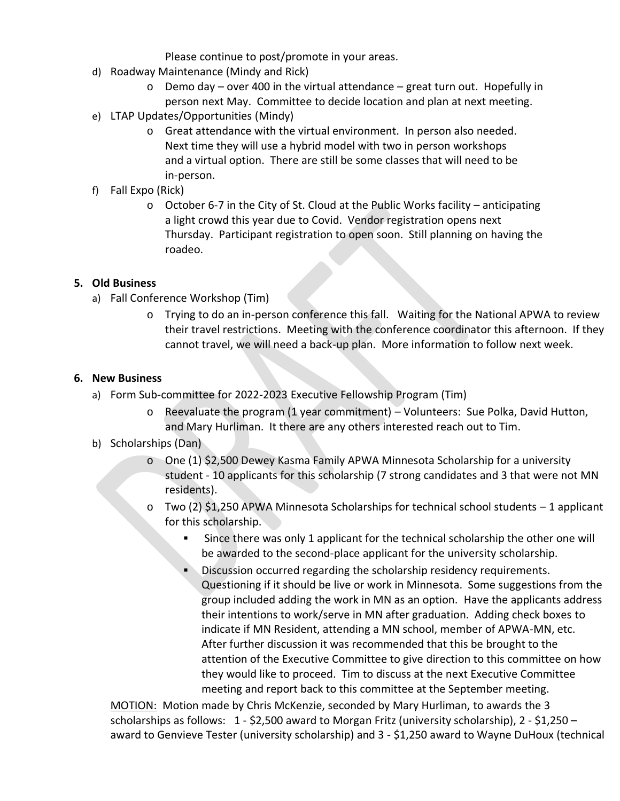Please continue to post/promote in your areas.

- d) Roadway Maintenance (Mindy and Rick)
	- o Demo day over 400 in the virtual attendance great turn out. Hopefully in person next May. Committee to decide location and plan at next meeting.
- e) LTAP Updates/Opportunities (Mindy)
	- o Great attendance with the virtual environment. In person also needed. Next time they will use a hybrid model with two in person workshops and a virtual option. There are still be some classes that will need to be in-person.
- f) Fall Expo (Rick)
	- o October 6-7 in the City of St. Cloud at the Public Works facility anticipating a light crowd this year due to Covid. Vendor registration opens next Thursday. Participant registration to open soon. Still planning on having the roadeo.

#### **5. Old Business**

- a) Fall Conference Workshop (Tim)
	- o Trying to do an in-person conference this fall. Waiting for the National APWA to review their travel restrictions. Meeting with the conference coordinator this afternoon. If they cannot travel, we will need a back-up plan. More information to follow next week.

#### **6. New Business**

- a) Form Sub-committee for 2022-2023 Executive Fellowship Program (Tim)
	- o Reevaluate the program (1 year commitment) Volunteers: Sue Polka, David Hutton, and Mary Hurliman. It there are any others interested reach out to Tim.

#### b) Scholarships (Dan)

- o One (1) \$2,500 Dewey Kasma Family APWA Minnesota Scholarship for a university student - 10 applicants for this scholarship (7 strong candidates and 3 that were not MN residents).
- $\circ$  Two (2) \$1,250 APWA Minnesota Scholarships for technical school students 1 applicant for this scholarship.
	- Since there was only 1 applicant for the technical scholarship the other one will be awarded to the second-place applicant for the university scholarship.
	- Discussion occurred regarding the scholarship residency requirements. Questioning if it should be live or work in Minnesota. Some suggestions from the group included adding the work in MN as an option. Have the applicants address their intentions to work/serve in MN after graduation. Adding check boxes to indicate if MN Resident, attending a MN school, member of APWA-MN, etc. After further discussion it was recommended that this be brought to the attention of the Executive Committee to give direction to this committee on how they would like to proceed. Tim to discuss at the next Executive Committee meeting and report back to this committee at the September meeting.

MOTION: Motion made by Chris McKenzie, seconded by Mary Hurliman, to awards the 3 scholarships as follows:  $1 - $2,500$  award to Morgan Fritz (university scholarship),  $2 - $1,250$  – award to Genvieve Tester (university scholarship) and 3 - \$1,250 award to Wayne DuHoux (technical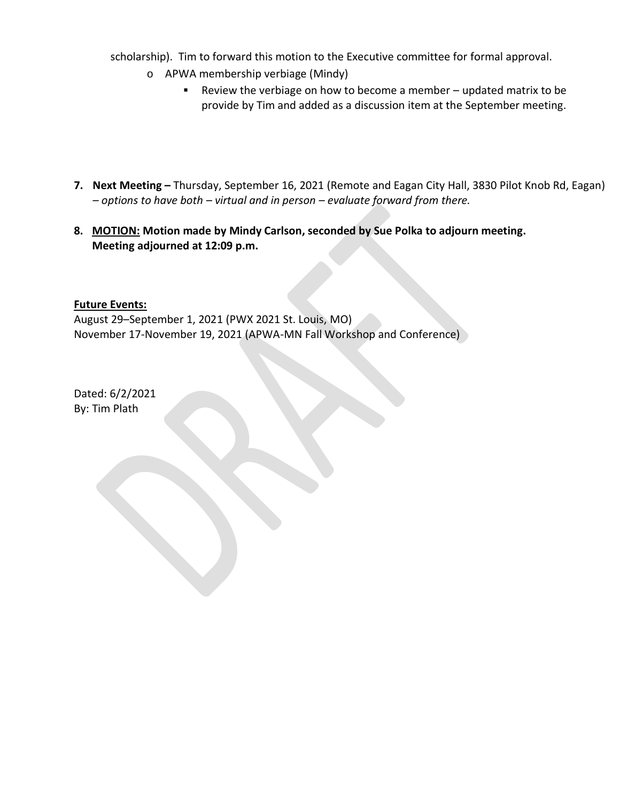scholarship). Tim to forward this motion to the Executive committee for formal approval.

- o APWA membership verbiage (Mindy)
	- Review the verbiage on how to become a member updated matrix to be provide by Tim and added as a discussion item at the September meeting.
- **7. Next Meeting –** Thursday, September 16, 2021 (Remote and Eagan City Hall, 3830 Pilot Knob Rd, Eagan) *– options to have both – virtual and in person – evaluate forward from there.*
- **8. MOTION: Motion made by Mindy Carlson, seconded by Sue Polka to adjourn meeting. Meeting adjourned at 12:09 p.m.**

#### **Future Events:**

August 29–September 1, 2021 (PWX 2021 St. Louis, MO) November 17-November 19, 2021 (APWA-MN Fall Workshop and Conference)

Dated: 6/2/2021 By: Tim Plath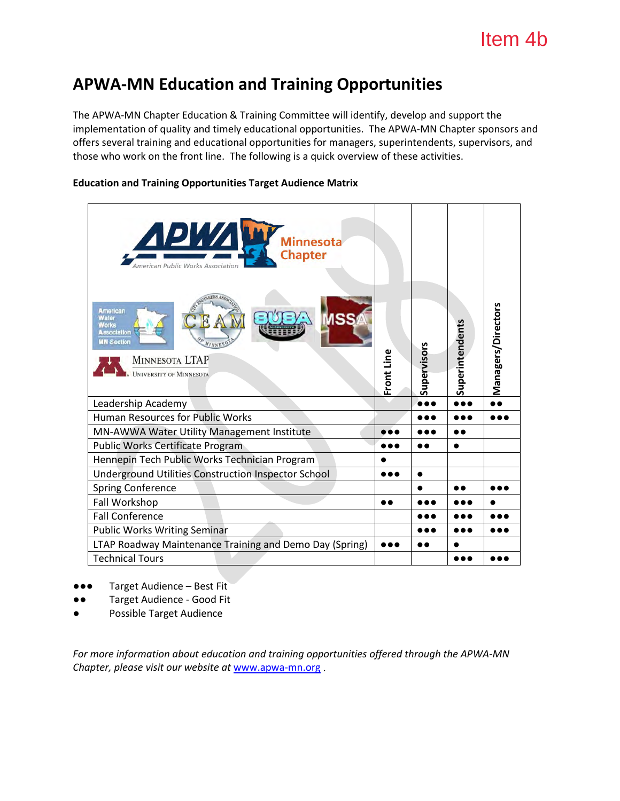# **APWA-MN Education and Training Opportunities**

The APWA-MN Chapter Education & Training Committee will identify, develop and support the implementation of quality and timely educational opportunities. The APWA-MN Chapter sponsors and offers several training and educational opportunities for managers, superintendents, supervisors, and those who work on the front line. The following is a quick overview of these activities.

#### **Education and Training Opportunities Target Audience Matrix**

| <u>АРИИ у </u><br><b>Minnesota</b><br><b>Chapter</b><br>merican Public Works Association                                               |            |             |                 |                    |
|----------------------------------------------------------------------------------------------------------------------------------------|------------|-------------|-----------------|--------------------|
| <b>American</b><br>Water<br><b>Norks</b><br>ssociation<br><b>HN Section</b><br><b>MINNESOTA LTAP</b><br><b>UNIVERSITY OF MINNESOTA</b> | Front Line | Supervisors | Superintendents | Managers/Directors |
| Leadership Academy                                                                                                                     |            |             |                 |                    |
| Human Resources for Public Works                                                                                                       |            |             |                 |                    |
| MN-AWWA Water Utility Management Institute                                                                                             |            |             |                 |                    |
| Public Works Certificate Program                                                                                                       |            |             | $\bullet$       |                    |
| Hennepin Tech Public Works Technician Program                                                                                          |            |             |                 |                    |
| <b>Underground Utilities Construction Inspector School</b>                                                                             |            |             |                 |                    |
| Spring Conference                                                                                                                      |            |             |                 |                    |
| Fall Workshop                                                                                                                          |            |             |                 |                    |
| <b>Fall Conference</b>                                                                                                                 |            |             | .               |                    |
| <b>Public Works Writing Seminar</b>                                                                                                    |            |             |                 |                    |
| LTAP Roadway Maintenance Training and Demo Day (Spring)                                                                                |            |             |                 |                    |
| <b>Technical Tours</b>                                                                                                                 |            |             |                 |                    |

- ●●● Target Audience Best Fit
- Target Audience Good Fit
- Possible Target Audience

*For more information about education and training opportunities offered through the APWA-MN Chapter, please visit our website at* [www.apwa-mn.org](http://www.apwa-mn.org/) .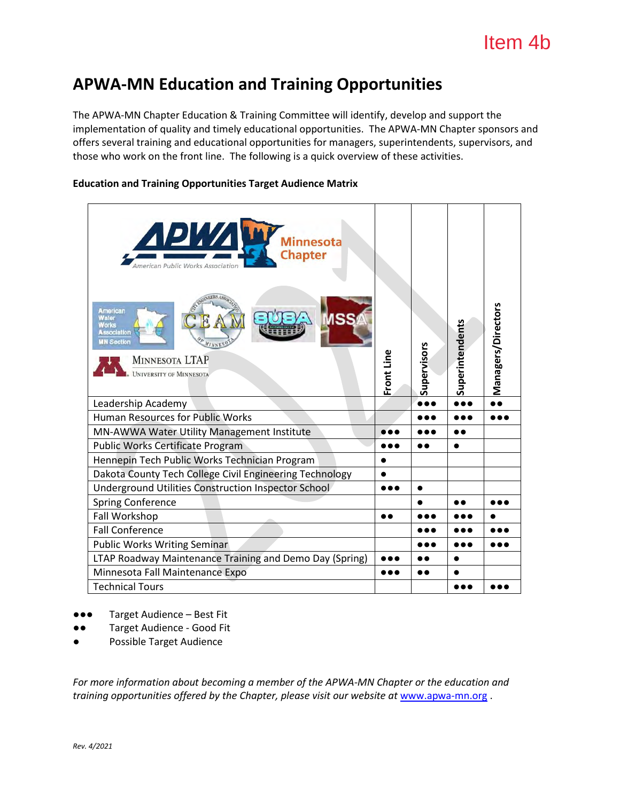# **APWA-MN Education and Training Opportunities**

The APWA-MN Chapter Education & Training Committee will identify, develop and support the implementation of quality and timely educational opportunities. The APWA-MN Chapter sponsors and offers several training and educational opportunities for managers, superintendents, supervisors, and those who work on the front line. The following is a quick overview of these activities.

#### **Education and Training Opportunities Target Audience Matrix**

| ДРИДУ<br><b>Minnesota</b><br><b>Chapter</b><br><i><u><b>Imerican Public Works Association</b></u></i><br><b>American</b><br>Water<br><b>Works</b><br>ssociation<br><b>MN Section</b><br><b>MINNESOTA LTAP</b><br>UNIVERSITY OF MINNESOTA | Front Line | Supervisors | Superintendents | Managers/Directors |
|------------------------------------------------------------------------------------------------------------------------------------------------------------------------------------------------------------------------------------------|------------|-------------|-----------------|--------------------|
| Leadership Academy                                                                                                                                                                                                                       |            |             |                 |                    |
| <b>Human Resources for Public Works</b>                                                                                                                                                                                                  |            |             | .               |                    |
| MN-AWWA Water Utility Management Institute                                                                                                                                                                                               |            |             |                 |                    |
| <b>Public Works Certificate Program</b>                                                                                                                                                                                                  |            |             |                 |                    |
| Hennepin Tech Public Works Technician Program                                                                                                                                                                                            |            |             |                 |                    |
| Dakota County Tech College Civil Engineering Technology                                                                                                                                                                                  |            |             |                 |                    |
| Underground Utilities Construction Inspector School                                                                                                                                                                                      |            | ●           |                 |                    |
| <b>Spring Conference</b>                                                                                                                                                                                                                 |            |             |                 |                    |
| Fall Workshop                                                                                                                                                                                                                            |            |             |                 |                    |
| <b>Fall Conference</b>                                                                                                                                                                                                                   |            |             |                 |                    |
| <b>Public Works Writing Seminar</b>                                                                                                                                                                                                      |            |             |                 |                    |
| LTAP Roadway Maintenance Training and Demo Day (Spring)                                                                                                                                                                                  |            |             |                 |                    |
| Minnesota Fall Maintenance Expo                                                                                                                                                                                                          |            |             |                 |                    |
| <b>Technical Tours</b>                                                                                                                                                                                                                   |            |             |                 |                    |

- ●●● Target Audience Best Fit
- ●● Target Audience Good Fit
- Possible Target Audience

*For more information about becoming a member of the APWA-MN Chapter or the education and training opportunities offered by the Chapter, please visit our website at* [www.apwa-mn.org](http://www.apwa-mn.org/) .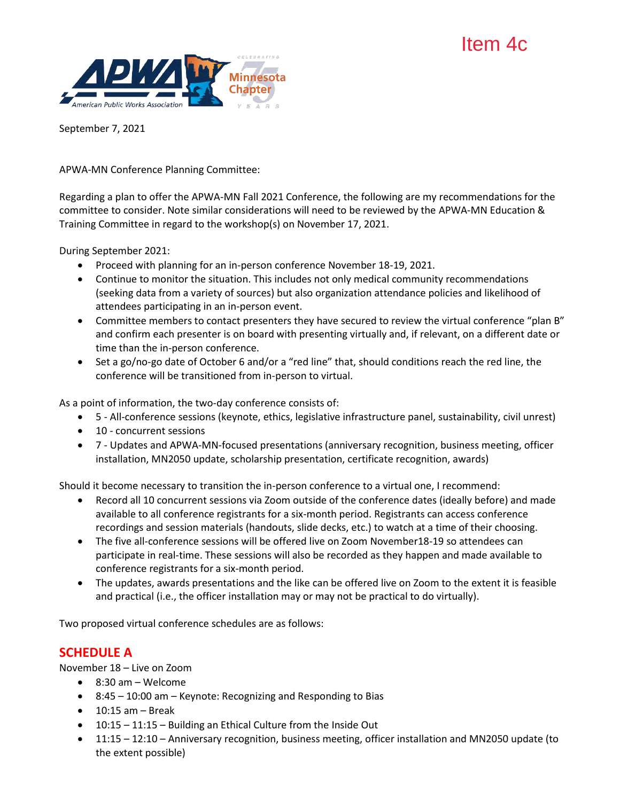# Item 4c



September 7, 2021

APWA-MN Conference Planning Committee:

Regarding a plan to offer the APWA-MN Fall 2021 Conference, the following are my recommendations for the committee to consider. Note similar considerations will need to be reviewed by the APWA-MN Education & Training Committee in regard to the workshop(s) on November 17, 2021.

During September 2021:

- Proceed with planning for an in-person conference November 18-19, 2021.
- Continue to monitor the situation. This includes not only medical community recommendations (seeking data from a variety of sources) but also organization attendance policies and likelihood of attendees participating in an in-person event.
- Committee members to contact presenters they have secured to review the virtual conference "plan B" and confirm each presenter is on board with presenting virtually and, if relevant, on a different date or time than the in-person conference.
- Set a go/no-go date of October 6 and/or a "red line" that, should conditions reach the red line, the conference will be transitioned from in-person to virtual.

As a point of information, the two-day conference consists of:

- 5 All-conference sessions (keynote, ethics, legislative infrastructure panel, sustainability, civil unrest)
- 10 concurrent sessions
- 7 Updates and APWA-MN-focused presentations (anniversary recognition, business meeting, officer installation, MN2050 update, scholarship presentation, certificate recognition, awards)

Should it become necessary to transition the in-person conference to a virtual one, I recommend:

- Record all 10 concurrent sessions via Zoom outside of the conference dates (ideally before) and made available to all conference registrants for a six-month period. Registrants can access conference recordings and session materials (handouts, slide decks, etc.) to watch at a time of their choosing.
- The five all-conference sessions will be offered live on Zoom November18-19 so attendees can participate in real-time. These sessions will also be recorded as they happen and made available to conference registrants for a six-month period.
- The updates, awards presentations and the like can be offered live on Zoom to the extent it is feasible and practical (i.e., the officer installation may or may not be practical to do virtually).

Two proposed virtual conference schedules are as follows:

## **SCHEDULE A**

November 18 – Live on Zoom

- 8:30 am Welcome
- 8:45 10:00 am Keynote: Recognizing and Responding to Bias
- $\bullet$  10:15 am Break
- 10:15 11:15 Building an Ethical Culture from the Inside Out
- 11:15 12:10 Anniversary recognition, business meeting, officer installation and MN2050 update (to the extent possible)